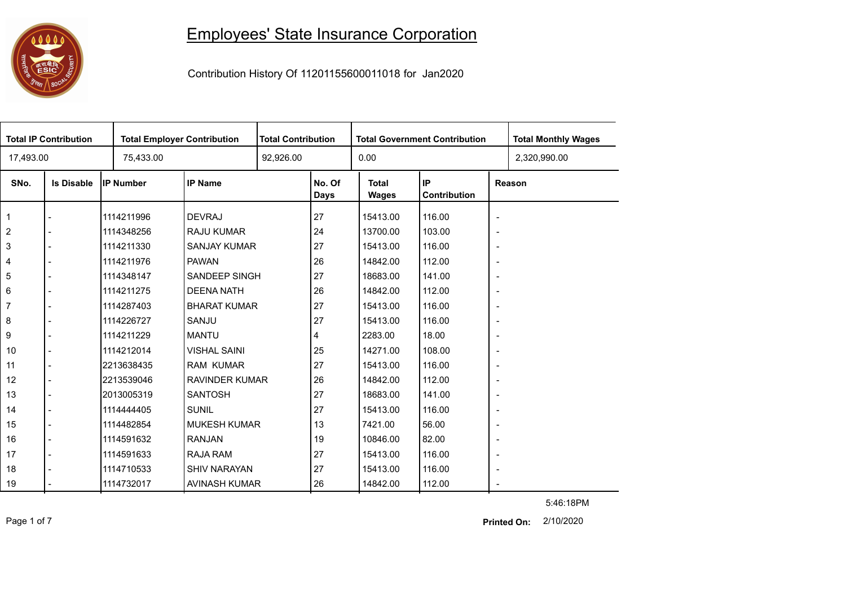## Employees' State Insurance Corporation



Contribution History Of 11201155600011018 for Jan2020

| <b>Total IP Contribution</b> |                   |            | <b>Total Employer Contribution</b> |  | <b>Total Contribution</b> |                       | <b>Total Government Contribution</b> |                          | <b>Total Monthly Wages</b> |
|------------------------------|-------------------|------------|------------------------------------|--|---------------------------|-----------------------|--------------------------------------|--------------------------|----------------------------|
| 17,493.00                    |                   | 75,433.00  |                                    |  | 92,926.00                 |                       |                                      |                          | 2,320,990.00               |
| SNo.                         | <b>Is Disable</b> | IP Number  | <b>IP Name</b>                     |  | No. Of<br><b>Days</b>     | <b>Total</b><br>Wages | IP<br>Contribution                   |                          | Reason                     |
|                              |                   | 1114211996 | <b>DEVRAJ</b>                      |  | 27                        | 15413.00              | 116.00                               | $\overline{\phantom{a}}$ |                            |
| $\overline{2}$               |                   | 1114348256 | <b>RAJU KUMAR</b>                  |  | 24                        | 13700.00              | 103.00                               | $\overline{\phantom{a}}$ |                            |
| 3                            |                   | 1114211330 | <b>SANJAY KUMAR</b>                |  | 27                        | 15413.00              | 116.00                               | $\overline{\phantom{a}}$ |                            |
| 4                            |                   | 1114211976 | <b>PAWAN</b>                       |  | 26                        | 14842.00              | 112.00                               | $\overline{\phantom{a}}$ |                            |
| 5                            |                   | 1114348147 | SANDEEP SINGH                      |  | 27                        | 18683.00              | 141.00                               | $\overline{\phantom{a}}$ |                            |
| $\,6\,$                      |                   | 1114211275 | <b>DEENA NATH</b>                  |  | 26                        | 14842.00              | 112.00                               | $\overline{\phantom{a}}$ |                            |
| $\overline{7}$               |                   | 1114287403 | <b>BHARAT KUMAR</b>                |  | 27                        | 15413.00              | 116.00                               | $\overline{\phantom{a}}$ |                            |
| 8                            |                   | 1114226727 | SANJU                              |  | 27                        | 15413.00              | 116.00                               | $\overline{\phantom{a}}$ |                            |
| 9                            |                   | 1114211229 | <b>MANTU</b>                       |  | 4                         | 2283.00               | 18.00                                | $\overline{\phantom{a}}$ |                            |
| 10                           | $\blacksquare$    | 1114212014 | <b>VISHAL SAINI</b>                |  | 25                        | 14271.00              | 108.00                               | $\overline{\phantom{a}}$ |                            |
| 11                           |                   | 2213638435 | <b>RAM KUMAR</b>                   |  | 27                        | 15413.00              | 116.00                               | $\overline{\phantom{a}}$ |                            |
| 12                           |                   | 2213539046 | <b>RAVINDER KUMAR</b>              |  | 26                        | 14842.00              | 112.00                               | $\overline{\phantom{a}}$ |                            |
| 13                           |                   | 2013005319 | <b>SANTOSH</b>                     |  | 27                        | 18683.00              | 141.00                               | $\overline{\phantom{a}}$ |                            |
| 14                           |                   | 1114444405 | <b>SUNIL</b>                       |  | 27                        | 15413.00              | 116.00                               | $\overline{\phantom{a}}$ |                            |
| 15                           |                   | 1114482854 | <b>MUKESH KUMAR</b>                |  | 13                        | 7421.00               | 56.00                                | $\overline{\phantom{a}}$ |                            |
| 16                           |                   | 1114591632 | <b>RANJAN</b>                      |  | 19                        | 10846.00              | 82.00                                | $\overline{\phantom{a}}$ |                            |
| 17                           |                   | 1114591633 | <b>RAJA RAM</b>                    |  | 27                        | 15413.00              | 116.00                               | $\overline{\phantom{a}}$ |                            |
| 18                           |                   | 1114710533 | <b>SHIV NARAYAN</b>                |  | 27                        | 15413.00              | 116.00                               | $\overline{\phantom{a}}$ |                            |
| 19                           |                   | 1114732017 | AVINASH KUMAR                      |  | 26                        | 14842.00              | 112.00                               | $\overline{\phantom{a}}$ |                            |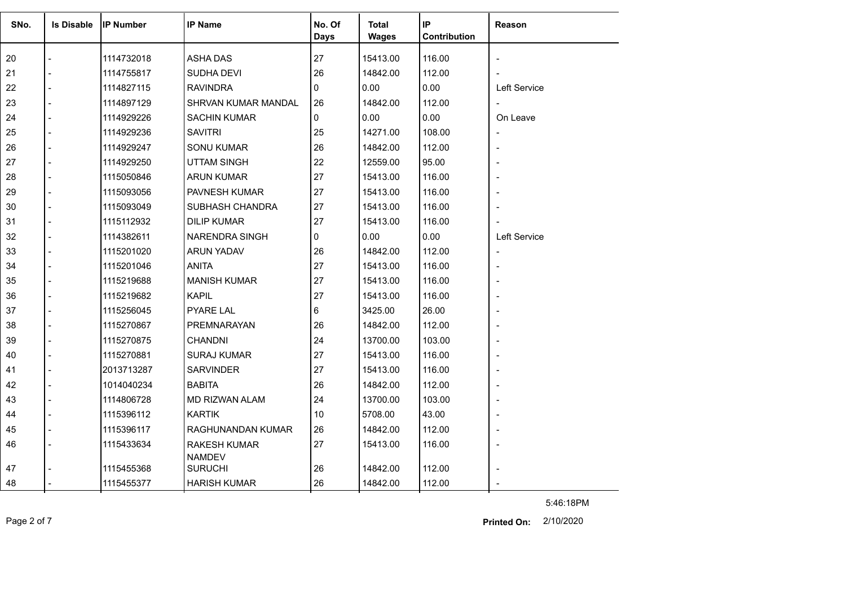| SNo. | <b>Is Disable</b> | <b>IP Number</b> | <b>IP Name</b>             | No. Of      | <b>Total</b> | IP           | <b>Reason</b>            |
|------|-------------------|------------------|----------------------------|-------------|--------------|--------------|--------------------------|
|      |                   |                  |                            | <b>Days</b> | <b>Wages</b> | Contribution |                          |
| 20   |                   | 1114732018       | <b>ASHA DAS</b>            | 27          | 15413.00     | 116.00       |                          |
| 21   |                   | 1114755817       | SUDHA DEVI                 | 26          | 14842.00     | 112.00       |                          |
| 22   |                   | 1114827115       | <b>RAVINDRA</b>            | 0           | 0.00         | 0.00         | <b>Left Service</b>      |
| 23   |                   | 1114897129       | <b>SHRVAN KUMAR MANDAL</b> | 26          | 14842.00     | 112.00       | $\overline{\phantom{a}}$ |
| 24   |                   | 1114929226       | <b>SACHIN KUMAR</b>        | 0           | 0.00         | 0.00         | On Leave                 |
| 25   |                   | 1114929236       | <b>SAVITRI</b>             | 25          | 14271.00     | 108.00       | $\overline{\phantom{a}}$ |
| 26   |                   | 1114929247       | <b>SONU KUMAR</b>          | 26          | 14842.00     | 112.00       | ÷,                       |
| 27   |                   | 1114929250       | <b>UTTAM SINGH</b>         | 22          | 12559.00     | 95.00        | ÷,                       |
| 28   |                   | 1115050846       | <b>ARUN KUMAR</b>          | 27          | 15413.00     | 116.00       |                          |
| 29   |                   | 1115093056       | PAVNESH KUMAR              | 27          | 15413.00     | 116.00       |                          |
| 30   |                   | 1115093049       | SUBHASH CHANDRA            | 27          | 15413.00     | 116.00       |                          |
| 31   |                   | 1115112932       | <b>DILIP KUMAR</b>         | 27          | 15413.00     | 116.00       |                          |
| 32   |                   | 1114382611       | NARENDRA SINGH             | 0           | 0.00         | 0.00         | Left Service             |
| 33   |                   | 1115201020       | ARUN YADAV                 | 26          | 14842.00     | 112.00       | $\overline{\phantom{a}}$ |
| 34   |                   | 1115201046       | <b>ANITA</b>               | 27          | 15413.00     | 116.00       | $\overline{\phantom{a}}$ |
| 35   |                   | 1115219688       | <b>MANISH KUMAR</b>        | 27          | 15413.00     | 116.00       |                          |
| 36   |                   | 1115219682       | <b>KAPIL</b>               | 27          | 15413.00     | 116.00       |                          |
| 37   |                   | 1115256045       | <b>PYARE LAL</b>           | 6           | 3425.00      | 26.00        |                          |
| 38   |                   | 1115270867       | PREMNARAYAN                | 26          | 14842.00     | 112.00       |                          |
| 39   |                   | 1115270875       | <b>CHANDNI</b>             | 24          | 13700.00     | 103.00       |                          |
| 40   |                   | 1115270881       | SURAJ KUMAR                | 27          | 15413.00     | 116.00       |                          |
| 41   |                   | 2013713287       | <b>SARVINDER</b>           | 27          | 15413.00     | 116.00       |                          |
| 42   |                   | 1014040234       | <b>BABITA</b>              | 26          | 14842.00     | 112.00       | $\overline{\phantom{a}}$ |
| 43   |                   | 1114806728       | MD RIZWAN ALAM             | 24          | 13700.00     | 103.00       |                          |
| 44   |                   | 1115396112       | <b>KARTIK</b>              | 10          | 5708.00      | 43.00        |                          |
| 45   |                   | 1115396117       | RAGHUNANDAN KUMAR          | 26          | 14842.00     | 112.00       |                          |
| 46   |                   | 1115433634       | <b>RAKESH KUMAR</b>        | 27          | 15413.00     | 116.00       |                          |
|      |                   |                  | <b>NAMDEV</b>              |             |              |              |                          |
| 47   |                   | 1115455368       | <b>SURUCHI</b>             | 26          | 14842.00     | 112.00       |                          |
| 48   |                   | 1115455377       | <b>HARISH KUMAR</b>        | 26          | 14842.00     | 112.00       |                          |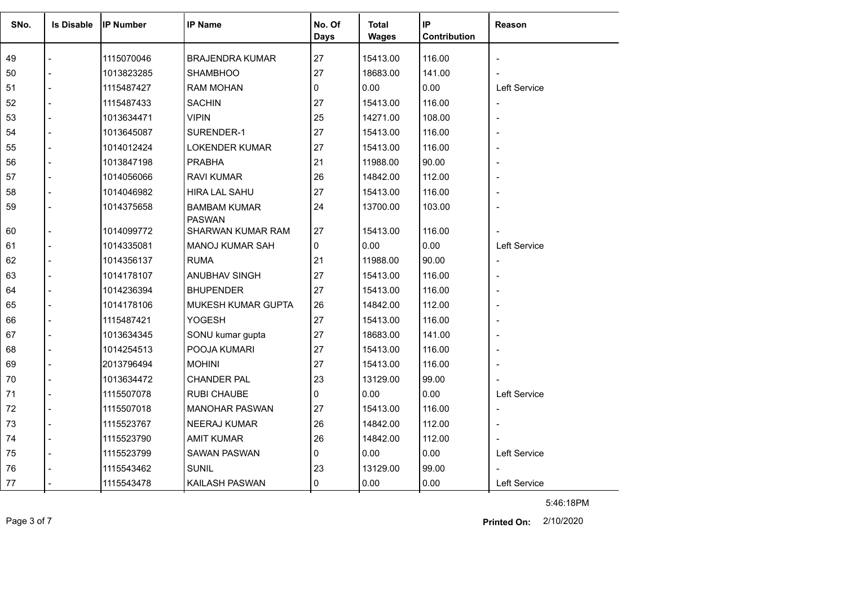| SNo. | <b>Is Disable</b> | <b>IP Number</b> | <b>IP Name</b>                       | No. Of      | <b>Total</b> | IP           | Reason                   |
|------|-------------------|------------------|--------------------------------------|-------------|--------------|--------------|--------------------------|
|      |                   |                  |                                      | <b>Days</b> | <b>Wages</b> | Contribution |                          |
| 49   |                   | 1115070046       | <b>BRAJENDRA KUMAR</b>               | 27          | 15413.00     | 116.00       |                          |
| 50   |                   | 1013823285       | <b>SHAMBHOO</b>                      | 27          | 18683.00     | 141.00       |                          |
| 51   |                   | 1115487427       | <b>RAM MOHAN</b>                     | 0           | 0.00         | 0.00         | <b>Left Service</b>      |
| 52   |                   | 1115487433       | <b>SACHIN</b>                        | 27          | 15413.00     | 116.00       | $\blacksquare$           |
| 53   |                   | 1013634471       | <b>VIPIN</b>                         | 25          | 14271.00     | 108.00       |                          |
| 54   |                   | 1013645087       | SURENDER-1                           | 27          | 15413.00     | 116.00       |                          |
| 55   |                   | 1014012424       | <b>LOKENDER KUMAR</b>                | 27          | 15413.00     | 116.00       |                          |
| 56   |                   | 1013847198       | <b>PRABHA</b>                        | 21          | 11988.00     | 90.00        |                          |
| 57   |                   | 1014056066       | <b>RAVI KUMAR</b>                    | 26          | 14842.00     | 112.00       | $\overline{\phantom{a}}$ |
| 58   |                   | 1014046982       | <b>HIRA LAL SAHU</b>                 | 27          | 15413.00     | 116.00       |                          |
| 59   |                   | 1014375658       | <b>BAMBAM KUMAR</b><br><b>PASWAN</b> | 24          | 13700.00     | 103.00       |                          |
| 60   |                   | 1014099772       | <b>SHARWAN KUMAR RAM</b>             | 27          | 15413.00     | 116.00       |                          |
| 61   |                   | 1014335081       | MANOJ KUMAR SAH                      | 0           | 0.00         | 0.00         | Left Service             |
| 62   |                   | 1014356137       | <b>RUMA</b>                          | 21          | 11988.00     | 90.00        | $\blacksquare$           |
| 63   |                   | 1014178107       | ANUBHAV SINGH                        | 27          | 15413.00     | 116.00       |                          |
| 64   |                   | 1014236394       | <b>BHUPENDER</b>                     | 27          | 15413.00     | 116.00       |                          |
| 65   |                   | 1014178106       | MUKESH KUMAR GUPTA                   | 26          | 14842.00     | 112.00       |                          |
| 66   |                   | 1115487421       | <b>YOGESH</b>                        | 27          | 15413.00     | 116.00       | ÷,                       |
| 67   | $\overline{a}$    | 1013634345       | SONU kumar gupta                     | 27          | 18683.00     | 141.00       |                          |
| 68   |                   | 1014254513       | POOJA KUMARI                         | 27          | 15413.00     | 116.00       |                          |
| 69   |                   | 2013796494       | <b>MOHINI</b>                        | 27          | 15413.00     | 116.00       |                          |
| 70   |                   | 1013634472       | <b>CHANDER PAL</b>                   | 23          | 13129.00     | 99.00        |                          |
| 71   |                   | 1115507078       | <b>RUBI CHAUBE</b>                   | $\Omega$    | 0.00         | 0.00         | Left Service             |
| 72   |                   | 1115507018       | <b>MANOHAR PASWAN</b>                | 27          | 15413.00     | 116.00       | $\overline{\phantom{a}}$ |
| 73   |                   | 1115523767       | <b>NEERAJ KUMAR</b>                  | 26          | 14842.00     | 112.00       |                          |
| 74   |                   | 1115523790       | <b>AMIT KUMAR</b>                    | 26          | 14842.00     | 112.00       |                          |
| 75   |                   | 1115523799       | SAWAN PASWAN                         | 0           | 0.00         | 0.00         | Left Service             |
| 76   |                   | 1115543462       | <b>SUNIL</b>                         | 23          | 13129.00     | 99.00        |                          |
| 77   |                   | 1115543478       | KAILASH PASWAN                       | $\Omega$    | 0.00         | 0.00         | Left Service             |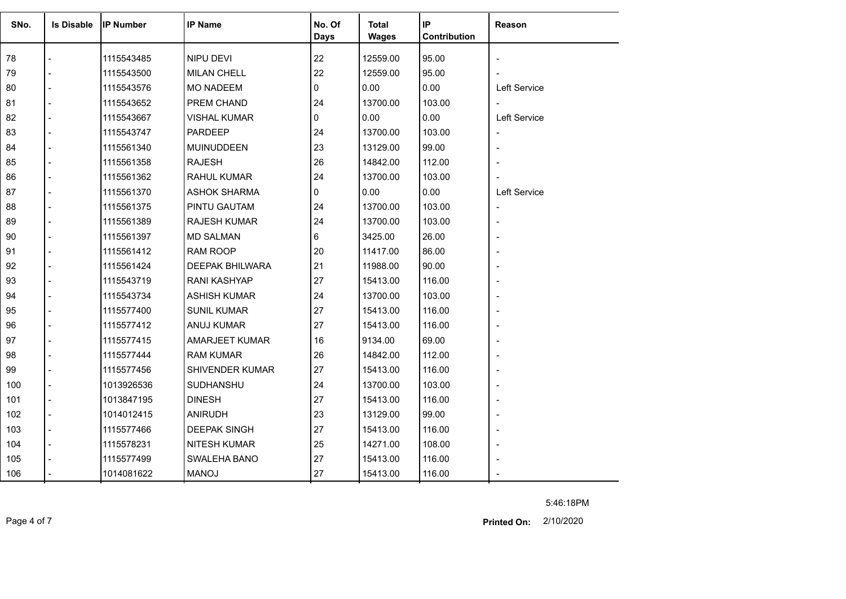| SNo. | <b>Is Disable</b> | <b>IP Number</b> | <b>IP Name</b>         | No. Of | <b>Total</b> | IP<br>Contribution | Reason                   |
|------|-------------------|------------------|------------------------|--------|--------------|--------------------|--------------------------|
|      |                   |                  |                        | Days   | <b>Wages</b> |                    |                          |
| 78   |                   | 1115543485       | NIPU DEVI              | 22     | 12559.00     | 95.00              |                          |
| 79   |                   | 1115543500       | <b>MILAN CHELL</b>     | 22     | 12559.00     | 95.00              |                          |
| 80   |                   | 1115543576       | <b>MO NADEEM</b>       | 0      | 0.00         | 0.00               | Left Service             |
| 81   |                   | 1115543652       | PREM CHAND             | 24     | 13700.00     | 103.00             |                          |
| 82   |                   | 1115543667       | <b>VISHAL KUMAR</b>    | 0      | 0.00         | 0.00               | Left Service             |
| 83   |                   | 1115543747       | <b>PARDEEP</b>         | 24     | 13700.00     | 103.00             | $\overline{\phantom{a}}$ |
| 84   |                   | 1115561340       | <b>MUINUDDEEN</b>      | 23     | 13129.00     | 99.00              |                          |
| 85   |                   | 1115561358       | <b>RAJESH</b>          | 26     | 14842.00     | 112.00             |                          |
| 86   |                   | 1115561362       | <b>RAHUL KUMAR</b>     | 24     | 13700.00     | 103.00             |                          |
| 87   |                   | 1115561370       | <b>ASHOK SHARMA</b>    | 0      | 0.00         | 0.00               | Left Service             |
| 88   |                   | 1115561375       | PINTU GAUTAM           | 24     | 13700.00     | 103.00             |                          |
| 89   |                   | 1115561389       | <b>RAJESH KUMAR</b>    | 24     | 13700.00     | 103.00             |                          |
| 90   |                   | 1115561397       | <b>MD SALMAN</b>       | 6      | 3425.00      | 26.00              |                          |
| 91   |                   | 1115561412       | RAM ROOP               | 20     | 11417.00     | 86.00              |                          |
| 92   |                   | 1115561424       | <b>DEEPAK BHILWARA</b> | 21     | 11988.00     | 90.00              |                          |
| 93   |                   | 1115543719       | <b>RANI KASHYAP</b>    | 27     | 15413.00     | 116.00             |                          |
| 94   |                   | 1115543734       | <b>ASHISH KUMAR</b>    | 24     | 13700.00     | 103.00             |                          |
| 95   |                   | 1115577400       | <b>SUNIL KUMAR</b>     | 27     | 15413.00     | 116.00             |                          |
| 96   |                   | 1115577412       | ANUJ KUMAR             | 27     | 15413.00     | 116.00             |                          |
| 97   |                   | 1115577415       | AMARJEET KUMAR         | 16     | 9134.00      | 69.00              |                          |
| 98   |                   | 1115577444       | <b>RAM KUMAR</b>       | 26     | 14842.00     | 112.00             |                          |
| 99   |                   | 1115577456       | SHIVENDER KUMAR        | 27     | 15413.00     | 116.00             |                          |
| 100  |                   | 1013926536       | SUDHANSHU              | 24     | 13700.00     | 103.00             |                          |
| 101  |                   | 1013847195       | <b>DINESH</b>          | 27     | 15413.00     | 116.00             |                          |
| 102  |                   | 1014012415       | <b>ANIRUDH</b>         | 23     | 13129.00     | 99.00              |                          |
| 103  |                   | 1115577466       | <b>DEEPAK SINGH</b>    | 27     | 15413.00     | 116.00             |                          |
| 104  |                   | 1115578231       | <b>NITESH KUMAR</b>    | 25     | 14271.00     | 108.00             |                          |
| 105  |                   | 1115577499       | SWALEHA BANO           | 27     | 15413.00     | 116.00             |                          |
| 106  |                   | 1014081622       | <b>MANOJ</b>           | 27     | 15413.00     | 116.00             |                          |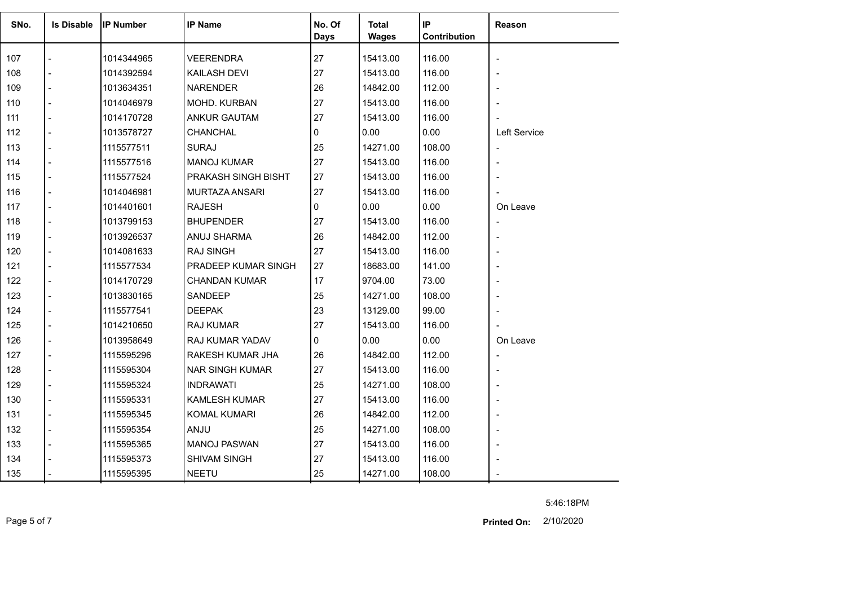| SNo. | <b>Is Disable</b> | <b>IP Number</b> | <b>IP Name</b>         | No. Of<br><b>Days</b> | <b>Total</b><br><b>Wages</b> | IP<br>Contribution | Reason                   |
|------|-------------------|------------------|------------------------|-----------------------|------------------------------|--------------------|--------------------------|
|      |                   |                  |                        |                       |                              |                    |                          |
| 107  |                   | 1014344965       | <b>VEERENDRA</b>       | 27                    | 15413.00                     | 116.00             |                          |
| 108  |                   | 1014392594       | KAILASH DEVI           | 27                    | 15413.00                     | 116.00             |                          |
| 109  |                   | 1013634351       | <b>NARENDER</b>        | 26                    | 14842.00                     | 112.00             | $\overline{\phantom{a}}$ |
| 110  |                   | 1014046979       | MOHD. KURBAN           | 27                    | 15413.00                     | 116.00             |                          |
| 111  |                   | 1014170728       | <b>ANKUR GAUTAM</b>    | 27                    | 15413.00                     | 116.00             |                          |
| 112  |                   | 1013578727       | CHANCHAL               | 0                     | 0.00                         | 0.00               | Left Service             |
| 113  |                   | 1115577511       | <b>SURAJ</b>           | 25                    | 14271.00                     | 108.00             | $\overline{\phantom{a}}$ |
| 114  |                   | 1115577516       | <b>MANOJ KUMAR</b>     | 27                    | 15413.00                     | 116.00             | $\blacksquare$           |
| 115  |                   | 1115577524       | PRAKASH SINGH BISHT    | 27                    | 15413.00                     | 116.00             |                          |
| 116  |                   | 1014046981       | MURTAZA ANSARI         | 27                    | 15413.00                     | 116.00             |                          |
| 117  |                   | 1014401601       | <b>RAJESH</b>          | 0                     | 0.00                         | 0.00               | On Leave                 |
| 118  |                   | 1013799153       | <b>BHUPENDER</b>       | 27                    | 15413.00                     | 116.00             | $\overline{\phantom{a}}$ |
| 119  |                   | 1013926537       | ANUJ SHARMA            | 26                    | 14842.00                     | 112.00             | $\overline{\phantom{a}}$ |
| 120  |                   | 1014081633       | <b>RAJ SINGH</b>       | 27                    | 15413.00                     | 116.00             |                          |
| 121  |                   | 1115577534       | PRADEEP KUMAR SINGH    | 27                    | 18683.00                     | 141.00             |                          |
| 122  |                   | 1014170729       | <b>CHANDAN KUMAR</b>   | 17                    | 9704.00                      | 73.00              |                          |
| 123  |                   | 1013830165       | SANDEEP                | 25                    | 14271.00                     | 108.00             |                          |
| 124  |                   | 1115577541       | <b>DEEPAK</b>          | 23                    | 13129.00                     | 99.00              |                          |
| 125  |                   | 1014210650       | <b>RAJ KUMAR</b>       | 27                    | 15413.00                     | 116.00             |                          |
| 126  |                   | 1013958649       | RAJ KUMAR YADAV        | 0                     | 0.00                         | 0.00               | On Leave                 |
| 127  |                   | 1115595296       | RAKESH KUMAR JHA       | 26                    | 14842.00                     | 112.00             | $\overline{\phantom{a}}$ |
| 128  |                   | 1115595304       | <b>NAR SINGH KUMAR</b> | 27                    | 15413.00                     | 116.00             |                          |
| 129  |                   | 1115595324       | <b>INDRAWATI</b>       | 25                    | 14271.00                     | 108.00             |                          |
| 130  |                   | 1115595331       | <b>KAMLESH KUMAR</b>   | 27                    | 15413.00                     | 116.00             |                          |
| 131  |                   | 1115595345       | <b>KOMAL KUMARI</b>    | 26                    | 14842.00                     | 112.00             | $\overline{a}$           |
| 132  |                   | 1115595354       | <b>ANJU</b>            | 25                    | 14271.00                     | 108.00             |                          |
| 133  |                   | 1115595365       | <b>MANOJ PASWAN</b>    | 27                    | 15413.00                     | 116.00             |                          |
| 134  |                   | 1115595373       | SHIVAM SINGH           | 27                    | 15413.00                     | 116.00             |                          |
| 135  |                   | 1115595395       | <b>NEETU</b>           | 25                    | 14271.00                     | 108.00             |                          |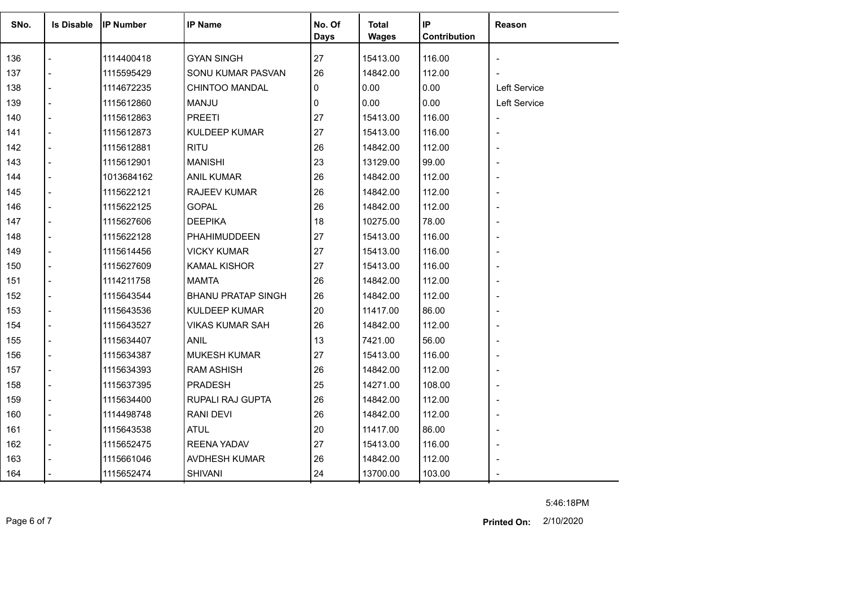| SNo. | <b>Is Disable</b> | <b>IP Number</b> | <b>IP Name</b>            | No. Of<br><b>Days</b> | <b>Total</b><br><b>Wages</b> | IP<br>Contribution | Reason                   |
|------|-------------------|------------------|---------------------------|-----------------------|------------------------------|--------------------|--------------------------|
| 136  |                   | 1114400418       | <b>GYAN SINGH</b>         | 27                    | 15413.00                     | 116.00             | $\overline{\phantom{a}}$ |
| 137  |                   | 1115595429       | SONU KUMAR PASVAN         | 26                    | 14842.00                     | 112.00             |                          |
| 138  |                   | 1114672235       | <b>CHINTOO MANDAL</b>     | 0                     | 0.00                         | 0.00               | Left Service             |
| 139  |                   | 1115612860       | <b>MANJU</b>              | $\mathbf{0}$          | 0.00                         | 0.00               | Left Service             |
| 140  |                   | 1115612863       | <b>PREETI</b>             | 27                    | 15413.00                     | 116.00             |                          |
| 141  |                   | 1115612873       | <b>KULDEEP KUMAR</b>      | 27                    | 15413.00                     | 116.00             | $\overline{\phantom{a}}$ |
| 142  |                   | 1115612881       | <b>RITU</b>               | 26                    | 14842.00                     | 112.00             | $\overline{\phantom{a}}$ |
| 143  | $\overline{a}$    | 1115612901       | <b>MANISHI</b>            | 23                    | 13129.00                     | 99.00              |                          |
| 144  |                   | 1013684162       | <b>ANIL KUMAR</b>         | 26                    | 14842.00                     | 112.00             |                          |
| 145  |                   | 1115622121       | <b>RAJEEV KUMAR</b>       | 26                    | 14842.00                     | 112.00             | $\overline{\phantom{0}}$ |
| 146  |                   | 1115622125       | <b>GOPAL</b>              | 26                    | 14842.00                     | 112.00             |                          |
| 147  |                   | 1115627606       | <b>DEEPIKA</b>            | 18                    | 10275.00                     | 78.00              |                          |
| 148  |                   | 1115622128       | PHAHIMUDDEEN              | 27                    | 15413.00                     | 116.00             | $\overline{\phantom{a}}$ |
| 149  |                   | 1115614456       | VICKY KUMAR               | 27                    | 15413.00                     | 116.00             |                          |
| 150  |                   | 1115627609       | <b>KAMAL KISHOR</b>       | 27                    | 15413.00                     | 116.00             |                          |
| 151  |                   | 1114211758       | <b>MAMTA</b>              | 26                    | 14842.00                     | 112.00             |                          |
| 152  |                   | 1115643544       | <b>BHANU PRATAP SINGH</b> | 26                    | 14842.00                     | 112.00             |                          |
| 153  |                   | 1115643536       | <b>KULDEEP KUMAR</b>      | 20                    | 11417.00                     | 86.00              | $\overline{a}$           |
| 154  |                   | 1115643527       | <b>VIKAS KUMAR SAH</b>    | 26                    | 14842.00                     | 112.00             |                          |
| 155  |                   | 1115634407       | <b>ANIL</b>               | 13                    | 7421.00                      | 56.00              |                          |
| 156  |                   | 1115634387       | <b>MUKESH KUMAR</b>       | 27                    | 15413.00                     | 116.00             |                          |
| 157  |                   | 1115634393       | <b>RAM ASHISH</b>         | 26                    | 14842.00                     | 112.00             |                          |
| 158  |                   | 1115637395       | PRADESH                   | 25                    | 14271.00                     | 108.00             | $\blacksquare$           |
| 159  |                   | 1115634400       | RUPALI RAJ GUPTA          | 26                    | 14842.00                     | 112.00             |                          |
| 160  | $\overline{a}$    | 1114498748       | <b>RANI DEVI</b>          | 26                    | 14842.00                     | 112.00             | L,                       |
| 161  | $\blacksquare$    | 1115643538       | <b>ATUL</b>               | 20                    | 11417.00                     | 86.00              | $\overline{\phantom{a}}$ |
| 162  |                   | 1115652475       | <b>REENA YADAV</b>        | 27                    | 15413.00                     | 116.00             |                          |
| 163  |                   | 1115661046       | AVDHESH KUMAR             | 26                    | 14842.00                     | 112.00             |                          |
| 164  |                   | 1115652474       | <b>SHIVANI</b>            | 24                    | 13700.00                     | 103.00             |                          |